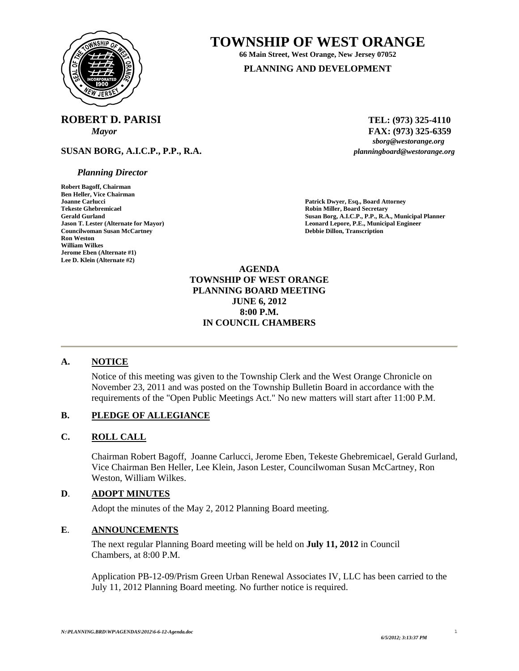

# **TOWNSHIP OF WEST ORANGE 66 Main Street, West Orange, New Jersey 07052**

**PLANNING AND DEVELOPMENT**

# **ROBERT D. PARISI** TEL: (973) 325-4110

**SUSAN BORG, A.I.C.P., P.P., R.A.** *planningboard@westorange.org* 

#### *Planning Director*

**Robert Bagoff, Chairman Ben Heller, Vice Chairman Joanne Carlucci Patrick Dwyer, Esq., Board Attorney Councilwoman Susan McCartney**<br>Ron Weston **William Wilkes Jerome Eben (Alternate #1) Lee D. Klein (Alternate #2)** 

*Mayor* **FAX:** (973) 325-6359<br>*sborg@westorange.org* 

**Robin Miller, Board Secretary** Gerald Gurland **Gurland Susan Borg, A.I.C.P., P.P., R.A., Municipal Planner**<br> **Gerald Gurland Lepore, P.E., Municipal Engineer**<br> **Leonard Lepore, P.E., Municipal Engineer Leonard Lepore, P.E., Municipal Engineer Debbie Dillon, Transcription** 

> **AGENDA TOWNSHIP OF WEST ORANGE PLANNING BOARD MEETING JUNE 6, 2012 8:00 P.M. IN COUNCIL CHAMBERS**

## **A. NOTICE**

Notice of this meeting was given to the Township Clerk and the West Orange Chronicle on November 23, 2011 and was posted on the Township Bulletin Board in accordance with the requirements of the "Open Public Meetings Act." No new matters will start after 11:00 P.M.

#### **B. PLEDGE OF ALLEGIANCE**

#### **C. ROLL CALL**

Chairman Robert Bagoff, Joanne Carlucci, Jerome Eben, Tekeste Ghebremicael, Gerald Gurland, Vice Chairman Ben Heller, Lee Klein, Jason Lester, Councilwoman Susan McCartney, Ron Weston, William Wilkes.

#### **D**. **ADOPT MINUTES**

Adopt the minutes of the May 2, 2012 Planning Board meeting.

#### **E**. **ANNOUNCEMENTS**

 The next regular Planning Board meeting will be held on **July 11, 2012** in Council Chambers, at 8:00 P.M.

 Application PB-12-09/Prism Green Urban Renewal Associates IV, LLC has been carried to the July 11, 2012 Planning Board meeting. No further notice is required.